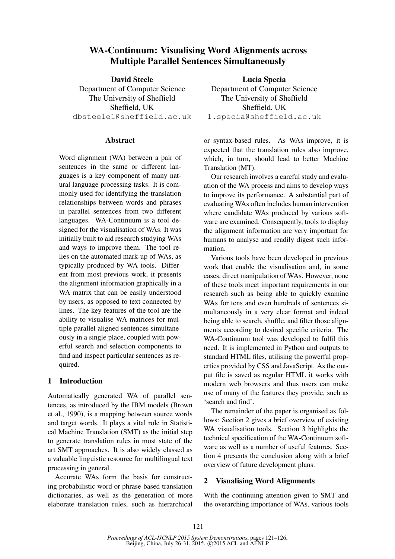# WA-Continuum: Visualising Word Alignments across Multiple Parallel Sentences Simultaneously

David Steele Department of Computer Science The University of Sheffield Sheffield, UK dbsteele1@sheffield.ac.uk

#### **Abstract**

Word alignment (WA) between a pair of sentences in the same or different languages is a key component of many natural language processing tasks. It is commonly used for identifying the translation relationships between words and phrases in parallel sentences from two different languages. WA-Continuum is a tool designed for the visualisation of WAs. It was initially built to aid research studying WAs and ways to improve them. The tool relies on the automated mark-up of WAs, as typically produced by WA tools. Different from most previous work, it presents the alignment information graphically in a WA matrix that can be easily understood by users, as opposed to text connected by lines. The key features of the tool are the ability to visualise WA matrices for multiple parallel aligned sentences simultaneously in a single place, coupled with powerful search and selection components to find and inspect particular sentences as required.

## 1 Introduction

Automatically generated WA of parallel sentences, as introduced by the IBM models (Brown et al., 1990), is a mapping between source words and target words. It plays a vital role in Statistical Machine Translation (SMT) as the initial step to generate translation rules in most state of the art SMT approaches. It is also widely classed as a valuable linguistic resource for multilingual text processing in general.

Accurate WAs form the basis for constructing probabilistic word or phrase-based translation dictionaries, as well as the generation of more elaborate translation rules, such as hierarchical

Lucia Specia Department of Computer Science The University of Sheffield Sheffield, UK l.specia@sheffield.ac.uk

or syntax-based rules. As WAs improve, it is expected that the translation rules also improve, which, in turn, should lead to better Machine Translation (MT).

Our research involves a careful study and evaluation of the WA process and aims to develop ways to improve its performance. A substantial part of evaluating WAs often includes human intervention where candidate WAs produced by various software are examined. Consequently, tools to display the alignment information are very important for humans to analyse and readily digest such information.

Various tools have been developed in previous work that enable the visualisation and, in some cases, direct manipulation of WAs. However, none of these tools meet important requirements in our research such as being able to quickly examine WAs for tens and even hundreds of sentences simultaneously in a very clear format and indeed being able to search, shuffle, and filter those alignments according to desired specific criteria. The WA-Continuum tool was developed to fulfil this need. It is implemented in Python and outputs to standard HTML files, utilising the powerful properties provided by CSS and JavaScript. As the output file is saved as regular HTML it works with modern web browsers and thus users can make use of many of the features they provide, such as 'search and find'.

The remainder of the paper is organised as follows: Section 2 gives a brief overview of existing WA visualisation tools. Section 3 highlights the technical specification of the WA-Continuum software as well as a number of useful features. Section 4 presents the conclusion along with a brief overview of future development plans.

#### 2 Visualising Word Alignments

With the continuing attention given to SMT and the overarching importance of WAs, various tools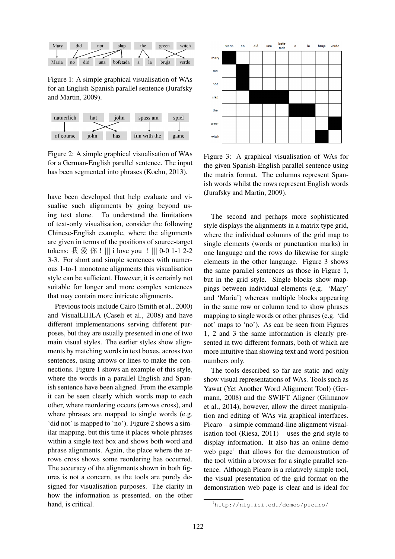

Figure 1: A simple graphical visualisation of WAs for an English-Spanish parallel sentence (Jurafsky and Martin, 2009).



Figure 2: A simple graphical visualisation of WAs for a German-English parallel sentence. The input has been segmented into phrases (Koehn, 2013).

have been developed that help evaluate and visualise such alignments by going beyond using text alone. To understand the limitations of text-only visualisation, consider the following Chinese-English example, where the alignments are given in terms of the positions of source-target tokens: 我 爱 <sup>你</sup> ! ||| i love you ! ||| 0-0 1-1 2-2 3-3. For short and simple sentences with numerous 1-to-1 monotone alignments this visualisation style can be sufficient. However, it is certainly not suitable for longer and more complex sentences that may contain more intricate alignments.

Previous tools include Cairo (Smith et al., 2000) and VisualLIHLA (Caseli et al., 2008) and have different implementations serving different purposes, but they are usually presented in one of two main visual styles. The earlier styles show alignments by matching words in text boxes, across two sentences, using arrows or lines to make the connections. Figure 1 shows an example of this style, where the words in a parallel English and Spanish sentence have been aligned. From the example it can be seen clearly which words map to each other, where reordering occurs (arrows cross), and where phrases are mapped to single words (e.g. 'did not' is mapped to 'no'). Figure 2 shows a similar mapping, but this time it places whole phrases within a single text box and shows both word and phrase alignments. Again, the place where the arrows cross shows some reordering has occurred. The accuracy of the alignments shown in both figures is not a concern, as the tools are purely designed for visualisation purposes. The clarity in how the information is presented, on the other hand, is critical.



Figure 3: A graphical visualisation of WAs for the given Spanish-English parallel sentence using the matrix format. The columns represent Spanish words whilst the rows represent English words (Jurafsky and Martin, 2009).

The second and perhaps more sophisticated style displays the alignments in a matrix type grid, where the individual columns of the grid map to single elements (words or punctuation marks) in one language and the rows do likewise for single elements in the other language. Figure 3 shows the same parallel sentences as those in Figure 1, but in the grid style. Single blocks show mappings between individual elements (e.g. 'Mary' and 'Maria') whereas multiple blocks appearing in the same row or column tend to show phrases mapping to single words or other phrases (e.g. 'did not' maps to 'no'). As can be seen from Figures 1, 2 and 3 the same information is clearly presented in two different formats, both of which are more intuitive than showing text and word position numbers only.

The tools described so far are static and only show visual representations of WAs. Tools such as Yawat (Yet Another Word Alignment Tool) (Germann, 2008) and the SWIFT Aligner (Gilmanov et al., 2014), however, allow the direct manipulation and editing of WAs via graphical interfaces. Picaro – a simple command-line alignment visualisation tool (Riesa, 2011) – uses the grid style to display information. It also has an online demo web page<sup>1</sup> that allows for the demonstration of the tool within a browser for a single parallel sentence. Although Picaro is a relatively simple tool, the visual presentation of the grid format on the demonstration web page is clear and is ideal for

<sup>1</sup>http://nlg.isi.edu/demos/picaro/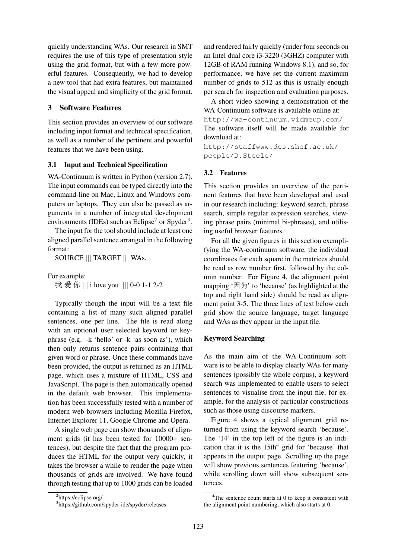quickly understanding WAs. Our research in SMT requires the use of this type of presentation style using the grid format, but with a few more powerful features. Consequently, we had to develop a new tool that had extra features, but maintained the visual appeal and simplicity of the grid format.

## 3 Software Features

This section provides an overview of our software including input format and technical specification, as well as a number of the pertinent and powerful features that we have been using.

### 3.1 Input and Technical Specification

WA-Continuum is written in Python (version 2.7). The input commands can be typed directly into the command-line on Mac, Linux and Windows computers or laptops. They can also be passed as arguments in a number of integrated development environments (IDEs) such as Eclipse<sup>2</sup> or Spyder<sup>3</sup>.

The input for the tool should include at least one aligned parallel sentence arranged in the following format:

SOURCE ||| TARGET ||| WAs.

For example:

我 爱 你 ||| i love you ||| 0-0 1-1 2-2

Typically though the input will be a text file containing a list of many such aligned parallel sentences, one per line. The file is read along with an optional user selected keyword or keyphrase (e.g. -k 'hello' or -k 'as soon as'), which then only returns sentence pairs containing that given word or phrase. Once these commands have been provided, the output is returned as an HTML page, which uses a mixture of HTML, CSS and JavaScript. The page is then automatically opened in the default web browser. This implementation has been successfully tested with a number of modern web browsers including Mozilla Firefox, Internet Explorer 11, Google Chrome and Opera.

A single web page can show thousands of alignment grids (it has been tested for 10000+ sentences), but despite the fact that the program produces the HTML for the output very quickly, it takes the browser a while to render the page when thousands of grids are involved. We have found through testing that up to 1000 grids can be loaded

and rendered fairly quickly (under four seconds on an Intel dual core i3-3220 (3GHZ) computer with 12GB of RAM running Windows 8.1), and so, for performance, we have set the current maximum number of grids to 512 as this is usually enough per search for inspection and evaluation purposes.

A short video showing a demonstration of the WA-Continuum software is available online at: http://wa-continuum.vidmeup.com/ The software itself will be made available for download at:

http://staffwww.dcs.shef.ac.uk/ people/D.Steele/

### 3.2 Features

This section provides an overview of the pertinent features that have been developed and used in our research including: keyword search, phrase search, simple regular expression searches, viewing phrase pairs (minimal bi-phrases), and utilising useful browser features.

For all the given figures in this section exemplifying the WA-continuum software, the individual coordinates for each square in the matrices should be read as row number first, followed by the column number. For Figure 4, the alignment point mapping ' $\boxtimes$   $\forall$ ' to 'because' (as highlighted at the top and right hand side) should be read as alignment point 3-5. The three lines of text below each grid show the source language, target language and WAs as they appear in the input file.

### Keyword Searching

As the main aim of the WA-Continuum software is to be able to display clearly WAs for many sentences (possibly the whole corpus), a keyword search was implemented to enable users to select sentences to visualise from the input file, for example, for the analysis of particular constructions such as those using discourse markers.

Figure 4 shows a typical alignment grid returned from using the keyword search 'because'. The '14' in the top left of the figure is an indication that it is the  $15th<sup>4</sup>$  grid for 'because' that appears in the output page. Scrolling up the page will show previous sentences featuring 'because', while scrolling down will show subsequent sentences.

<sup>&</sup>lt;sup>2</sup>https://eclipse.org/

<sup>3</sup> https://github.com/spyder-ide/spyder/releases

 $4$ The sentence count starts at 0 to keep it consistent with the alignment point numbering, which also starts at 0.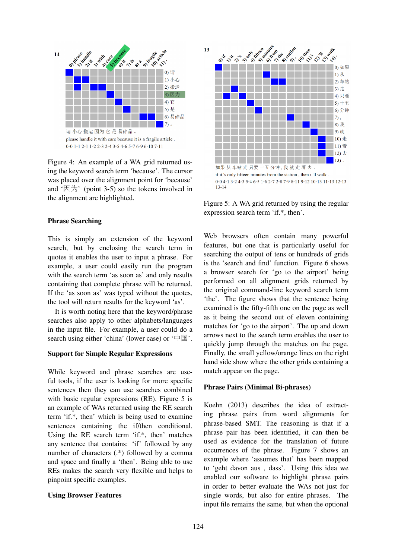

Figure 4: An example of a WA grid returned using the keyword search term 'because'. The cursor was placed over the alignment point for 'because' and  $\Delta$   $\uparrow$   $\boxplus$   $\uparrow$   $\uparrow$  (point 3-5) so the tokens involved in the alignment are highlighted.

### Phrase Searching

This is simply an extension of the keyword search, but by enclosing the search term in quotes it enables the user to input a phrase. For example, a user could easily run the program with the search term 'as soon as' and only results containing that complete phrase will be returned. If the 'as soon as' was typed without the quotes, the tool will return results for the keyword 'as'.

It is worth noting here that the keyword/phrase searches also apply to other alphabets/languages in the input file. For example, a user could do a search using either 'china' (lower case) or ' $\Pi$ <sup>'</sup>.

#### Support for Simple Regular Expressions

While keyword and phrase searches are useful tools, if the user is looking for more specific sentences then they can use searches combined with basic regular expressions (RE). Figure 5 is an example of WAs returned using the RE search term 'if.\*, then' which is being used to examine sentences containing the if/then conditional. Using the RE search term 'if.\*, then' matches any sentence that contains: 'if' followed by any number of characters (.\*) followed by a comma and space and finally a 'then'. Being able to use REs makes the search very flexible and helps to pinpoint specific examples.

#### Using Browser Features



Figure 5: A WA grid returned by using the regular expression search term 'if.\*, then'.

Web browsers often contain many powerful features, but one that is particularly useful for searching the output of tens or hundreds of grids is the 'search and find' function. Figure 6 shows a browser search for 'go to the airport' being performed on all alignment grids returned by the original command-line keyword search term 'the'. The figure shows that the sentence being examined is the fifty-fifth one on the page as well as it being the second out of eleven containing matches for 'go to the airport'. The up and down arrows next to the search term enables the user to quickly jump through the matches on the page. Finally, the small yellow/orange lines on the right hand side show where the other grids containing a match appear on the page.

#### Phrase Pairs (Minimal Bi-phrases)

Koehn (2013) describes the idea of extracting phrase pairs from word alignments for phrase-based SMT. The reasoning is that if a phrase pair has been identified, it can then be used as evidence for the translation of future occurrences of the phrase. Figure 7 shows an example where 'assumes that' has been mapped to 'geht davon aus , dass'. Using this idea we enabled our software to highlight phrase pairs in order to better evaluate the WAs not just for single words, but also for entire phrases. The input file remains the same, but when the optional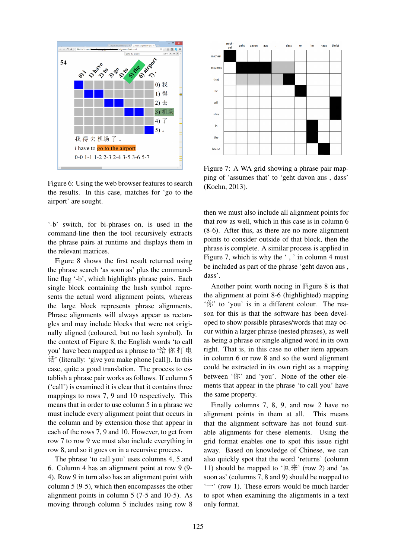

Figure 6: Using the web browser features to search the results. In this case, matches for 'go to the airport' are sought.

'-b' switch, for bi-phrases on, is used in the command-line then the tool recursively extracts the phrase pairs at runtime and displays them in the relevant matrices.

Figure 8 shows the first result returned using the phrase search 'as soon as' plus the commandline flag '-b', which highlights phrase pairs. Each single block containing the hash symbol represents the actual word alignment points, whereas the large block represents phrase alignments. Phrase alignments will always appear as rectangles and may include blocks that were not originally aligned (coloured, but no hash symbol). In the context of Figure 8, the English words 'to call you' have been mapped as a phrase to '<sup>给</sup> <sup>你</sup> 打 电 话' (literally: 'give you make phone [call]). In this case, quite a good translation. The process to establish a phrase pair works as follows. If column 5 ('call') is examined it is clear that it contains three mappings to rows 7, 9 and 10 respectively. This means that in order to use column 5 in a phrase we must include every alignment point that occurs in the column and by extension those that appear in each of the rows 7, 9 and 10. However, to get from row 7 to row 9 we must also include everything in row 8, and so it goes on in a recursive process.

The phrase 'to call you' uses columns 4, 5 and 6. Column 4 has an alignment point at row 9 (9- 4). Row 9 in turn also has an alignment point with column 5 (9-5), which then encompasses the other alignment points in column 5 (7-5 and 10-5). As moving through column 5 includes using row 8



Figure 7: A WA grid showing a phrase pair mapping of 'assumes that' to 'geht davon aus , dass' (Koehn, 2013).

then we must also include all alignment points for that row as well, which in this case is in column 6 (8-6). After this, as there are no more alignment points to consider outside of that block, then the phrase is complete. A similar process is applied in Figure 7, which is why the ', ' in column 4 must be included as part of the phrase 'geht davon aus , dass'.

Another point worth noting in Figure 8 is that the alignment at point 8-6 (highlighted) mapping '你' to 'you' is in a different colour. The reason for this is that the software has been developed to show possible phrases/words that may occur within a larger phrase (nested phrases), as well as being a phrase or single aligned word in its own right. That is, in this case no other item appears in column 6 or row 8 and so the word alignment could be extracted in its own right as a mapping between '你' and 'you'. None of the other elements that appear in the phrase 'to call you' have the same property.

Finally columns 7, 8, 9, and row 2 have no alignment points in them at all. This means that the alignment software has not found suitable alignments for these elements. Using the grid format enables one to spot this issue right away. Based on knowledge of Chinese, we can also quickly spot that the word 'returns' (column 11) should be mapped to ' $\mathbb{R}$ <sup>\*</sup>' (row 2) and 'as soon as' (columns 7, 8 and 9) should be mapped to '一' (row 1). These errors would be much harder to spot when examining the alignments in a text only format.